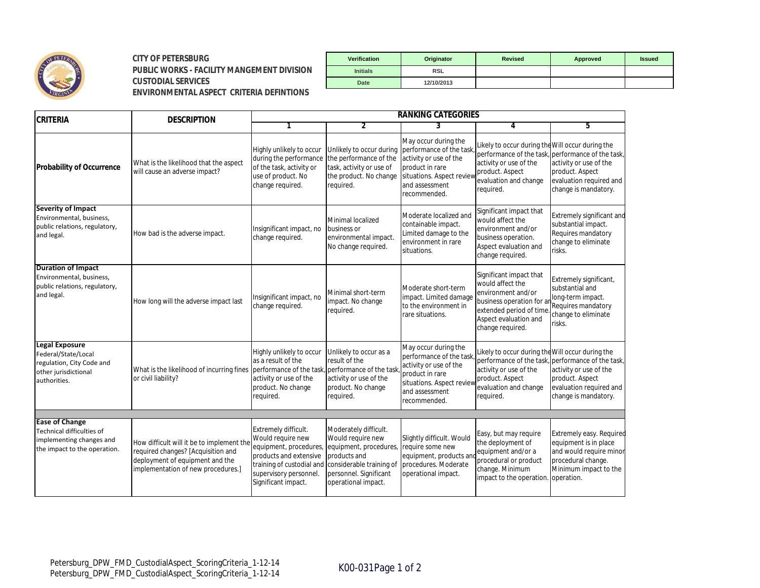

## **CITY OF PETERSBURG Verification Originator Revised Approved Issued PUBLIC WORKS - FACILITY MANGEMENT DIVISION**  $CUSTODIAL$  **SERVICES ENVIRONMENTAL ASPECT CRITERIA DEFINTIONS**

| Verification    | Originator | <b>Revised</b> | Approved | <b>Issued</b> |
|-----------------|------------|----------------|----------|---------------|
| <b>Initials</b> | <b>RSL</b> |                |          |               |
| <b>Date</b>     | 12/10/2013 |                |          |               |

| <b>CRITERIA</b>                                                                                                   | <b>DESCRIPTION</b>                                                                                                                                       | <b>RANKING CATEGORIES</b>                                                                                                                                                                                                   |                                                                                                                                 |                                                                                                                                                            |                                                                                                                                                                        |                                                                                                                                                   |  |
|-------------------------------------------------------------------------------------------------------------------|----------------------------------------------------------------------------------------------------------------------------------------------------------|-----------------------------------------------------------------------------------------------------------------------------------------------------------------------------------------------------------------------------|---------------------------------------------------------------------------------------------------------------------------------|------------------------------------------------------------------------------------------------------------------------------------------------------------|------------------------------------------------------------------------------------------------------------------------------------------------------------------------|---------------------------------------------------------------------------------------------------------------------------------------------------|--|
|                                                                                                                   |                                                                                                                                                          |                                                                                                                                                                                                                             | $\overline{2}$                                                                                                                  | 3                                                                                                                                                          | 4                                                                                                                                                                      | 5                                                                                                                                                 |  |
| <b>Probability of Occurrence</b>                                                                                  | What is the likelihood that the aspect<br>will cause an adverse impact?                                                                                  | Highly unlikely to occur<br>during the performance<br>of the task, activity or<br>use of product. No<br>change required.                                                                                                    | Unlikely to occur during<br>the performance of the<br>task, activity or use of<br>the product. No change<br>required.           | May occur during the<br>performance of the task<br>activity or use of the<br>product in rare<br>situations. Aspect revie<br>and assessment<br>recommended. | Likely to occur during the Will occur during the<br>activity or use of the<br>product. Aspect<br>evaluation and change<br>required.                                    | performance of the task, performance of the task,<br>activity or use of the<br>product. Aspect<br>evaluation required and<br>change is mandatory. |  |
| <b>Severity of Impact</b><br>Environmental, business,<br>public relations, regulatory,<br>and legal.              | How bad is the adverse impact.                                                                                                                           | Insignificant impact, no<br>change required.                                                                                                                                                                                | Minimal localized<br>business or<br>environmental impact.<br>No change required.                                                | Moderate localized and<br>containable impact.<br>Limited damage to the<br>environment in rare<br>situations.                                               | Significant impact that<br>would affect the<br>environment and/or<br>business operation.<br>Aspect evaluation and<br>change required.                                  | Extremely significant and<br>substantial impact.<br>Requires mandatory<br>change to eliminate<br>risks.                                           |  |
| <b>Duration of Impact</b><br>Environmental, business,<br>public relations, regulatory,<br>and legal.              | How long will the adverse impact last                                                                                                                    | Insignificant impact, no<br>change required.                                                                                                                                                                                | Minimal short-term<br>impact. No change<br>required.                                                                            | Moderate short-term<br>impact. Limited damage<br>to the environment in<br>rare situations.                                                                 | Significant impact that<br>would affect the<br>environment and/or<br>business operation for ar<br>extended period of time<br>Aspect evaluation and<br>change required. | Extremely significant,<br>substantial and<br>long-term impact.<br>Requires mandatory<br>change to eliminate<br>risks.                             |  |
| <b>Legal Exposure</b><br>Federal/State/Local<br>regulation, City Code and<br>other jurisdictional<br>authorities. | What is the likelihood of incurring fines<br>or civil liability?                                                                                         | Highly unlikely to occur<br>as a result of the<br>performance of the task<br>activity or use of the<br>product. No change<br>required.                                                                                      | Unlikely to occur as a<br>result of the<br>performance of the task<br>activity or use of the<br>product. No change<br>required. | May occur during the<br>performance of the task<br>activity or use of the<br>product in rare<br>situations. Aspect revie<br>and assessment<br>recommended. | Likely to occur during the Will occur during the<br>activity or use of the<br>product. Aspect<br>evaluation and change<br>required.                                    | performance of the task, performance of the task,<br>activity or use of the<br>product. Aspect<br>evaluation required and<br>change is mandatory. |  |
| <b>Ease of Change</b>                                                                                             |                                                                                                                                                          |                                                                                                                                                                                                                             |                                                                                                                                 |                                                                                                                                                            |                                                                                                                                                                        |                                                                                                                                                   |  |
| Technical difficulties of<br>implementing changes and<br>the impact to the operation.                             | How difficult will it be to implement the<br>required changes? [Acquisition and<br>deployment of equipment and the<br>implementation of new procedures.] | Extremely difficult.<br>Would require new<br>equipment, procedures, equipment, procedures,<br>products and extensive<br>training of custodial and considerable training of<br>supervisory personnel.<br>Significant impact. | Moderately difficult.<br>Would require new<br>products and<br>personnel. Significant<br>operational impact.                     | Slightly difficult. Would<br>require some new<br>equipment, products ar<br>procedures. Moderate<br>operational impact.                                     | Easy, but may require<br>the deployment of<br>equipment and/or a<br>procedural or product<br>change. Minimum<br>impact to the operation.                               | Extremely easy. Required<br>equipment is in place<br>and would require minor<br>procedural change.<br>Minimum impact to the<br>operation.         |  |